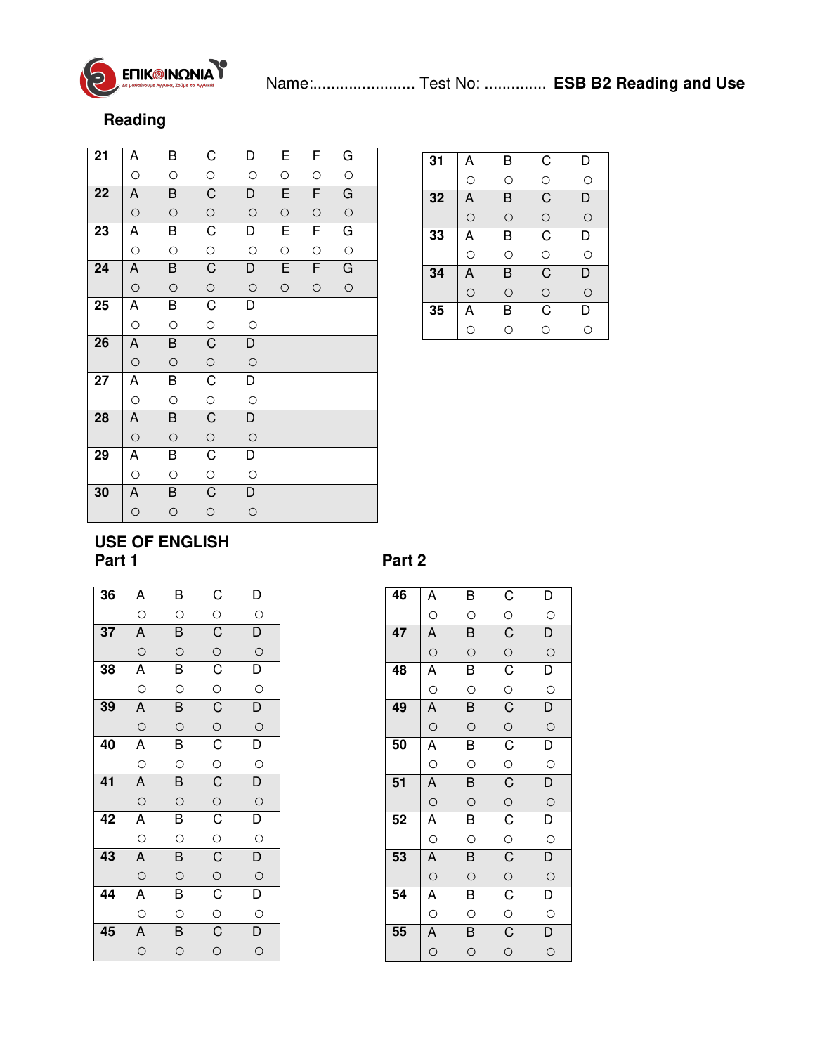

## **Reading**

| 21              | Α       | В       | C              | D              | E       | F          | G          |  |
|-----------------|---------|---------|----------------|----------------|---------|------------|------------|--|
|                 | $\circ$ | $\circ$ | $\circ$        | $\circ$        | $\circ$ | $\circ$    | $\circ$    |  |
| 22              | Α       | B       | $\overline{C}$ | D              | E       | F          | G          |  |
|                 | $\circ$ | $\circ$ | $\circ$        | $\circ$        | $\circ$ | $\circ$    | $\circ$    |  |
| 23              | Α       | B       | $\overline{C}$ | D              | Е       | F          | G          |  |
|                 | $\circ$ | $\circ$ | $\circ$        | $\circ$        | $\circ$ | $\bigcirc$ | $\circ$    |  |
| 24              | Α       | B       | $\overline{C}$ | D              | E       | F          | G          |  |
|                 | $\circ$ | $\circ$ | $\circ$        | $\circ$        | $\circ$ | $\circ$    | $\bigcirc$ |  |
| $\overline{25}$ | Α       | B       | $\overline{C}$ | $\overline{D}$ |         |            |            |  |
|                 | $\circ$ | $\circ$ | $\circ$        | $\circ$        |         |            |            |  |
| 26              | Α       | B       | $\overline{C}$ | D              |         |            |            |  |
|                 | $\circ$ | $\circ$ | $\circ$        | $\circ$        |         |            |            |  |
| 27              | Α       | B       | $\overline{C}$ | D              |         |            |            |  |
|                 | $\circ$ | $\circ$ | $\circ$        | $\circ$        |         |            |            |  |
| $\overline{28}$ | A       | B       | $\overline{C}$ | $\overline{D}$ |         |            |            |  |
|                 | $\circ$ | $\circ$ | $\circ$        | $\circ$        |         |            |            |  |
| 29              | Α       | B       | $\overline{C}$ | D              |         |            |            |  |
|                 | О       | $\circ$ | $\circ$        | $\circ$        |         |            |            |  |
| 30              | Α       | B       | C              | D              |         |            |            |  |
|                 | $\circ$ | $\circ$ | $\circ$        | $\circ$        |         |            |            |  |

| 31 | Α | B | C | D |
|----|---|---|---|---|
|    | O | O | O | O |
| 32 | А | B | C | D |
|    | O | O | O | O |
| 33 | Α | B | C | D |
|    | O | Ω | O | Ω |
| 34 | Α | B | C | D |
|    | O | O | O | O |
| 35 | А | B | C | D |
|    | ∩ | ∩ | ∩ | O |

## **USE OF ENGLISH**

| 36 | A                                                           | В                       | $\mathsf{C}$                                 | D                                   |
|----|-------------------------------------------------------------|-------------------------|----------------------------------------------|-------------------------------------|
|    | $\frac{1}{2}$                                               | $\circ$                 | $\circ$                                      | $\circ$                             |
| 37 | $\overline{A}$                                              | $\overline{B}$          | $\overline{C}$                               | $\overline{D}$                      |
|    | $\circ$                                                     | $\circ$                 | $\frac{\circ}{\circ}$                        | $\overline{O}$                      |
| 38 | A                                                           | $\overline{\mathsf{B}}$ |                                              | $\overline{\mathsf{D}}$             |
|    |                                                             | $\circ$                 | $\frac{0}{C}$                                | $\circ$                             |
| 39 | A                                                           | $\overline{B}$          |                                              | $\overline{D}$                      |
|    |                                                             | $\circ$                 | $\frac{0}{C}$                                | $\circ$                             |
| 40 |                                                             | $\frac{4}{5}$           |                                              | $\overline{D}$<br>$\frac{\circ}{D}$ |
|    |                                                             | $\circ$                 | $\frac{0}{C}$                                |                                     |
| 41 | $\overline{A}$ $\overline{A}$ $\overline{A}$ $\overline{A}$ | $\overline{B}$          |                                              |                                     |
|    |                                                             | $\circ$                 | $\frac{0}{C}$                                | $\circ$                             |
| 42 | $\overline{A}$                                              | $\overline{B}$          |                                              | $\overline{\mathsf{D}}$             |
|    |                                                             | $\circ$                 |                                              | $\circ$                             |
| 43 | A                                                           | $\overline{B}$          |                                              | $\overline{D}$                      |
|    |                                                             | $\circ$                 |                                              | $\frac{\circ}{\mathsf{D}}$          |
| 44 | $\overline{A}$                                              | $\overline{B}$          |                                              |                                     |
|    |                                                             | $\circ$                 | $\overline{C}$ $\overline{C}$ $\overline{C}$ | $\circ$                             |
| 45 | $\overline{A}$                                              | $\overline{B}$          |                                              | $\overline{\mathsf{D}}$             |
|    |                                                             | $\circ$                 | $\circ$                                      | $\circ$                             |

## Part 2

| 46              | Α              | B              | $\overline{C}$     | D                       |
|-----------------|----------------|----------------|--------------------|-------------------------|
|                 | $\circ$        | $\circ$        | $\circ$            | $\circ$                 |
| 47              | $\overline{A}$ | $\overline{B}$ | $\overline{C}$     | $\overline{D}$          |
|                 | $\circ$        | $\circ$        | $\circ$            | $\circ$                 |
| 48              | $\vec{A}$      | $\overline{B}$ | $\overline{C}$     | $\overline{D}$          |
|                 | $\circ$        | $\circ$        | $\circ$            | $\circ$                 |
| 49              | Ā              | $\overline{B}$ | $\overline{C}$     | $\overline{D}$          |
|                 | $\circ$        | $\circ$        | $\circ$            | $\circ$                 |
| 50              | Ā              | B              | $\overline{C}$     | $\overline{D}$          |
|                 | $\circ$        | $\circ$        | $rac{1}{\sqrt{2}}$ | $\circ$                 |
| 51              | $\overline{A}$ | $\overline{B}$ | $\overline{C}$     | $\overline{D}$          |
|                 | $\overline{O}$ | $\circ$        | $\overline{O}$     | $\circ$                 |
| 52              | Ā              | $\overline{B}$ | $\overline{C}$     | $\overline{\mathsf{D}}$ |
|                 | $\circ$        | $\circ$        | $\circ$            | $\circ$                 |
| 53              | $\overline{A}$ | $\overline{B}$ | $\overline{C}$     | $\overline{D}$          |
|                 | $\circ$        | $\circ$        | $\overline{O}$     | $\circ$                 |
| 54              | $\vec{A}$      | B              | $\overline{C}$     | $\overline{D}$          |
|                 | $\overline{O}$ | $\circ$        | $rac{1}{\sqrt{2}}$ | $\circ$                 |
| $\overline{55}$ | A              | $\overline{B}$ | $\overline{C}$     | $\overline{D}$          |
|                 | $\circ$        |                |                    |                         |